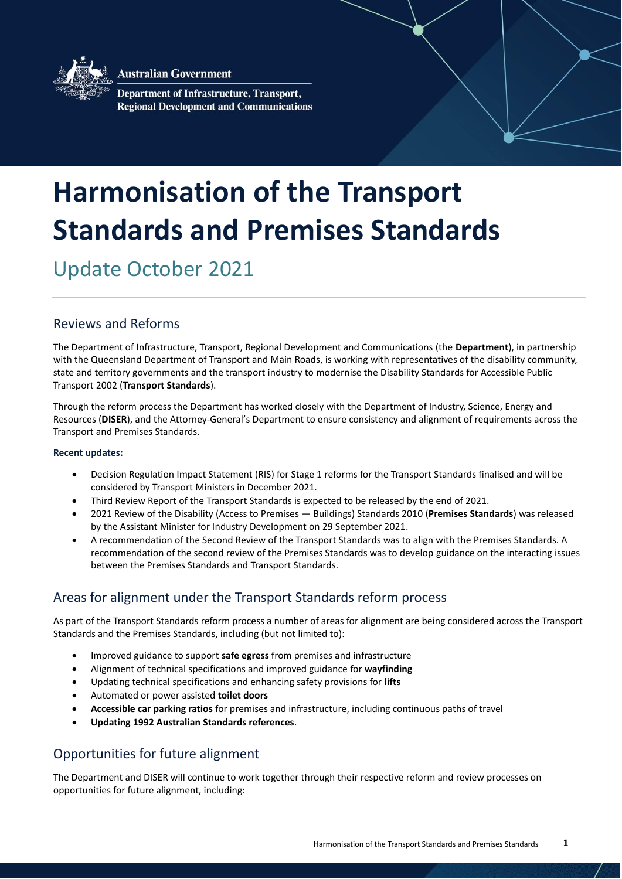

**Australian Government** 

Department of Infrastructure, Transport, **Regional Development and Communications** 

# **Harmonisation of the Transport Standards and Premises Standards**

Update October 2021

## Reviews and Reforms

The Department of Infrastructure, Transport, Regional Development and Communications (the **Department**), in partnership with the Queensland Department of Transport and Main Roads, is working with representatives of the disability community, state and territory governments and the transport industry to modernise the Disability Standards for Accessible Public Transport 2002 (**Transport Standards**).

Through the reform process the Department has worked closely with the Department of Industry, Science, Energy and Resources (**DISER**), and the Attorney-General's Department to ensure consistency and alignment of requirements across the Transport and Premises Standards.

#### **Recent updates:**

- Decision Regulation Impact Statement (RIS) for Stage 1 reforms for the Transport Standards finalised and will be considered by Transport Ministers in December 2021.
- Third Review Report of the Transport Standards is expected to be released by the end of 2021.
- 2021 Review of the Disability (Access to Premises Buildings) Standards 2010 (**Premises Standards**) was released by the Assistant Minister for Industry Development on 29 September 2021.
- A recommendation of the Second Review of the Transport Standards was to align with the Premises Standards. A recommendation of the second review of the Premises Standards was to develop guidance on the interacting issues between the Premises Standards and Transport Standards.

### Areas for alignment under the Transport Standards reform process

As part of the Transport Standards reform process a number of areas for alignment are being considered across the Transport Standards and the Premises Standards, including (but not limited to):

- Improved guidance to support **safe egress** from premises and infrastructure
- Alignment of technical specifications and improved guidance for **wayfinding**
- Updating technical specifications and enhancing safety provisions for **lifts**
- Automated or power assisted **toilet doors**
- **Accessible car parking ratios** for premises and infrastructure, including continuous paths of travel
- **Updating 1992 Australian Standards references**.

### Opportunities for future alignment

The Department and DISER will continue to work together through their respective reform and review processes on opportunities for future alignment, including: